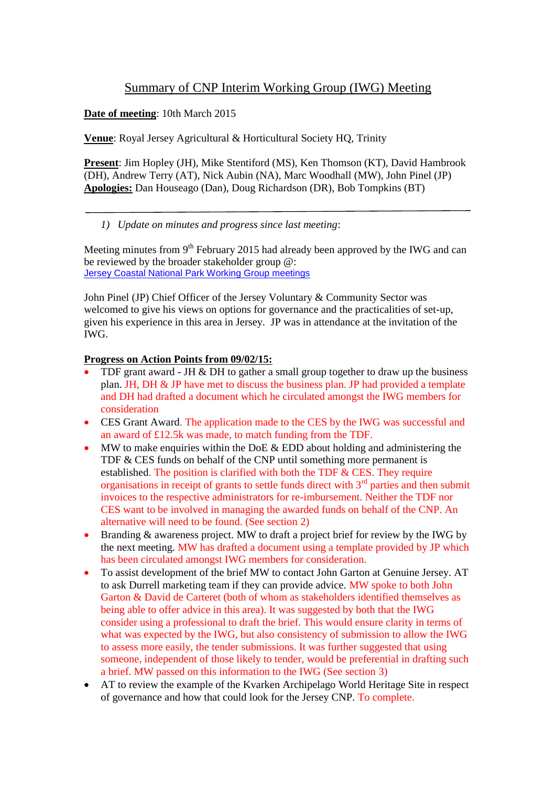# Summary of CNP Interim Working Group (IWG) Meeting

**Date of meeting**: 10th March 2015

**Venue**: Royal Jersey Agricultural & Horticultural Society HQ, Trinity

**Present**: Jim Hopley (JH), Mike Stentiford (MS), Ken Thomson (KT), David Hambrook (DH), Andrew Terry (AT), Nick Aubin (NA), Marc Woodhall (MW), John Pinel (JP) **Apologies:** Dan Houseago (Dan), Doug Richardson (DR), Bob Tompkins (BT)

# *1) Update on minutes and progress since last meeting*:

Meeting minutes from 9<sup>th</sup> February 2015 had already been approved by the IWG and can be reviewed by the broader stakeholder group @: [Jersey Coastal National Park Working Group meetings](http://www.gov.je/Government/Departments/PlanningEnvironment/AdvisoryGroups/Pages/JerseyCoastalNationalParkWorkingGroup.aspx)

John Pinel (JP) Chief Officer of the Jersey Voluntary & Community Sector was welcomed to give his views on options for governance and the practicalities of set-up, given his experience in this area in Jersey. JP was in attendance at the invitation of the IWG.

## **Progress on Action Points from 09/02/15:**

- TDF grant award JH & DH to gather a small group together to draw up the business plan. JH, DH & JP have met to discuss the business plan. JP had provided a template and DH had drafted a document which he circulated amongst the IWG members for consideration
- CES Grant Award. The application made to the CES by the IWG was successful and an award of £12.5k was made, to match funding from the TDF.
- MW to make enquiries within the DoE  $&$  EDD about holding and administering the TDF & CES funds on behalf of the CNP until something more permanent is established. The position is clarified with both the TDF & CES. They require organisations in receipt of grants to settle funds direct with  $3<sup>rd</sup>$  parties and then submit invoices to the respective administrators for re-imbursement. Neither the TDF nor CES want to be involved in managing the awarded funds on behalf of the CNP. An alternative will need to be found. (See section 2)
- Branding & awareness project. MW to draft a project brief for review by the IWG by the next meeting. MW has drafted a document using a template provided by JP which has been circulated amongst IWG members for consideration.
- To assist development of the brief MW to contact John Garton at Genuine Jersey. AT to ask Durrell marketing team if they can provide advice. MW spoke to both John Garton & David de Carteret (both of whom as stakeholders identified themselves as being able to offer advice in this area). It was suggested by both that the IWG consider using a professional to draft the brief. This would ensure clarity in terms of what was expected by the IWG, but also consistency of submission to allow the IWG to assess more easily, the tender submissions. It was further suggested that using someone, independent of those likely to tender, would be preferential in drafting such a brief. MW passed on this information to the IWG (See section 3)
- AT to review the example of the Kvarken Archipelago World Heritage Site in respect of governance and how that could look for the Jersey CNP. To complete.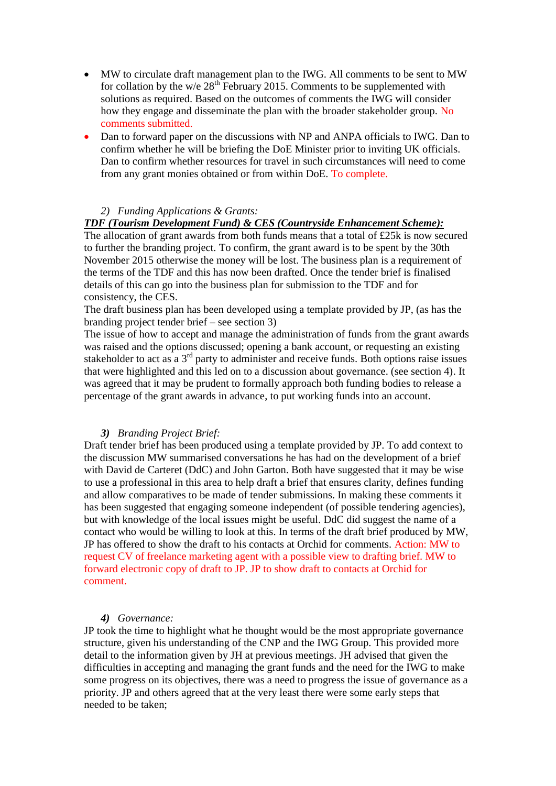- MW to circulate draft management plan to the IWG. All comments to be sent to MW for collation by the w/e  $28<sup>th</sup>$  February 2015. Comments to be supplemented with solutions as required. Based on the outcomes of comments the IWG will consider how they engage and disseminate the plan with the broader stakeholder group. No comments submitted.
- Dan to forward paper on the discussions with NP and ANPA officials to IWG. Dan to confirm whether he will be briefing the DoE Minister prior to inviting UK officials. Dan to confirm whether resources for travel in such circumstances will need to come from any grant monies obtained or from within DoE. To complete.

### *2) Funding Applications & Grants:*

#### *TDF (Tourism Development Fund) & CES (Countryside Enhancement Scheme):*

The allocation of grant awards from both funds means that a total of £25k is now secured to further the branding project. To confirm, the grant award is to be spent by the 30th November 2015 otherwise the money will be lost. The business plan is a requirement of the terms of the TDF and this has now been drafted. Once the tender brief is finalised details of this can go into the business plan for submission to the TDF and for consistency, the CES.

The draft business plan has been developed using a template provided by JP, (as has the branding project tender brief – see section 3)

The issue of how to accept and manage the administration of funds from the grant awards was raised and the options discussed; opening a bank account, or requesting an existing stakeholder to act as a  $3<sup>rd</sup>$  party to administer and receive funds. Both options raise issues that were highlighted and this led on to a discussion about governance. (see section 4). It was agreed that it may be prudent to formally approach both funding bodies to release a percentage of the grant awards in advance, to put working funds into an account.

#### *3) Branding Project Brief:*

Draft tender brief has been produced using a template provided by JP. To add context to the discussion MW summarised conversations he has had on the development of a brief with David de Carteret (DdC) and John Garton. Both have suggested that it may be wise to use a professional in this area to help draft a brief that ensures clarity, defines funding and allow comparatives to be made of tender submissions. In making these comments it has been suggested that engaging someone independent (of possible tendering agencies), but with knowledge of the local issues might be useful. DdC did suggest the name of a contact who would be willing to look at this. In terms of the draft brief produced by MW, JP has offered to show the draft to his contacts at Orchid for comments. Action: MW to request CV of freelance marketing agent with a possible view to drafting brief. MW to forward electronic copy of draft to JP. JP to show draft to contacts at Orchid for comment.

#### *4) Governance:*

JP took the time to highlight what he thought would be the most appropriate governance structure, given his understanding of the CNP and the IWG Group. This provided more detail to the information given by JH at previous meetings. JH advised that given the difficulties in accepting and managing the grant funds and the need for the IWG to make some progress on its objectives, there was a need to progress the issue of governance as a priority. JP and others agreed that at the very least there were some early steps that needed to be taken;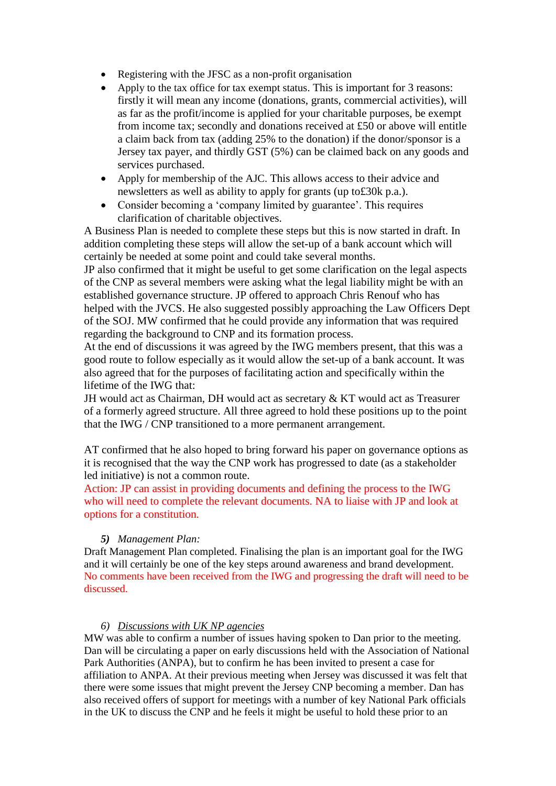- Registering with the JFSC as a non-profit organisation
- Apply to the tax office for tax exempt status. This is important for 3 reasons: firstly it will mean any income (donations, grants, commercial activities), will as far as the profit/income is applied for your charitable purposes, be exempt from income tax; secondly and donations received at £50 or above will entitle a claim back from tax (adding 25% to the donation) if the donor/sponsor is a Jersey tax payer, and thirdly GST (5%) can be claimed back on any goods and services purchased.
- Apply for membership of the AJC. This allows access to their advice and newsletters as well as ability to apply for grants (up to£30k p.a.).
- Consider becoming a 'company limited by guarantee'. This requires clarification of charitable objectives.

A Business Plan is needed to complete these steps but this is now started in draft. In addition completing these steps will allow the set-up of a bank account which will certainly be needed at some point and could take several months.

JP also confirmed that it might be useful to get some clarification on the legal aspects of the CNP as several members were asking what the legal liability might be with an established governance structure. JP offered to approach Chris Renouf who has helped with the JVCS. He also suggested possibly approaching the Law Officers Dept of the SOJ. MW confirmed that he could provide any information that was required regarding the background to CNP and its formation process.

At the end of discussions it was agreed by the IWG members present, that this was a good route to follow especially as it would allow the set-up of a bank account. It was also agreed that for the purposes of facilitating action and specifically within the lifetime of the IWG that:

JH would act as Chairman, DH would act as secretary & KT would act as Treasurer of a formerly agreed structure. All three agreed to hold these positions up to the point that the IWG / CNP transitioned to a more permanent arrangement.

AT confirmed that he also hoped to bring forward his paper on governance options as it is recognised that the way the CNP work has progressed to date (as a stakeholder led initiative) is not a common route.

Action: JP can assist in providing documents and defining the process to the IWG who will need to complete the relevant documents. NA to liaise with JP and look at options for a constitution.

## *5) Management Plan:*

Draft Management Plan completed. Finalising the plan is an important goal for the IWG and it will certainly be one of the key steps around awareness and brand development. No comments have been received from the IWG and progressing the draft will need to be discussed.

## *6) Discussions with UK NP agencies*

MW was able to confirm a number of issues having spoken to Dan prior to the meeting. Dan will be circulating a paper on early discussions held with the Association of National Park Authorities (ANPA), but to confirm he has been invited to present a case for affiliation to ANPA. At their previous meeting when Jersey was discussed it was felt that there were some issues that might prevent the Jersey CNP becoming a member. Dan has also received offers of support for meetings with a number of key National Park officials in the UK to discuss the CNP and he feels it might be useful to hold these prior to an